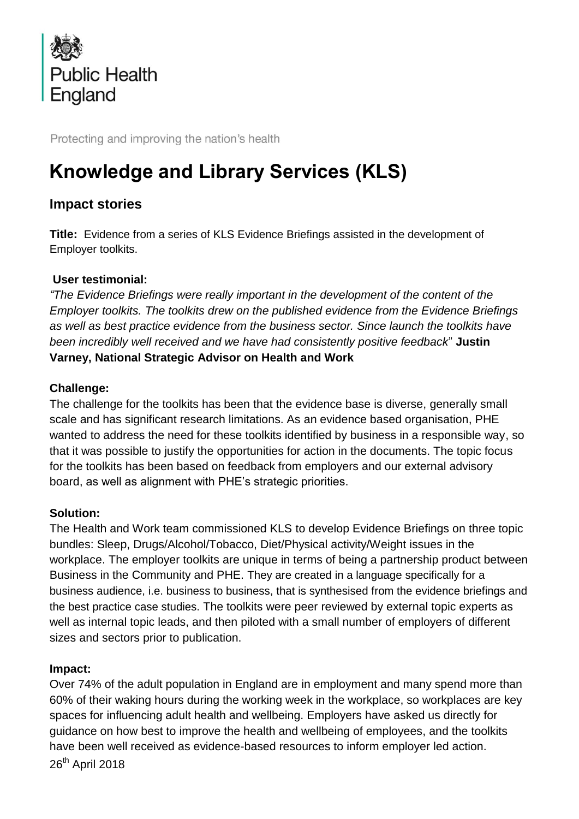

Protecting and improving the nation's health

# **Knowledge and Library Services (KLS)**

# **Impact stories**

**Title:** Evidence from a series of KLS Evidence Briefings assisted in the development of Employer toolkits.

## **User testimonial:**

*"The Evidence Briefings were really important in the development of the content of the Employer toolkits. The toolkits drew on the published evidence from the Evidence Briefings as well as best practice evidence from the business sector. Since launch the toolkits have been incredibly well received and we have had consistently positive feedback*" **Justin Varney, National Strategic Advisor on Health and Work**

## **Challenge:**

The challenge for the toolkits has been that the evidence base is diverse, generally small scale and has significant research limitations. As an evidence based organisation, PHE wanted to address the need for these toolkits identified by business in a responsible way, so that it was possible to justify the opportunities for action in the documents. The topic focus for the toolkits has been based on feedback from employers and our external advisory board, as well as alignment with PHE's strategic priorities.

#### **Solution:**

The Health and Work team commissioned KLS to develop Evidence Briefings on three topic bundles: Sleep, Drugs/Alcohol/Tobacco, Diet/Physical activity/Weight issues in the workplace. The employer toolkits are unique in terms of being a partnership product between Business in the Community and PHE. They are created in a language specifically for a business audience, i.e. business to business, that is synthesised from the evidence briefings and the best practice case studies. The toolkits were peer reviewed by external topic experts as well as internal topic leads, and then piloted with a small number of employers of different sizes and sectors prior to publication.

#### **Impact:**

26<sup>th</sup> April 2018 Over 74% of the adult population in England are in employment and many spend more than 60% of their waking hours during the working week in the workplace, so workplaces are key spaces for influencing adult health and wellbeing. Employers have asked us directly for guidance on how best to improve the health and wellbeing of employees, and the toolkits have been well received as evidence-based resources to inform employer led action.